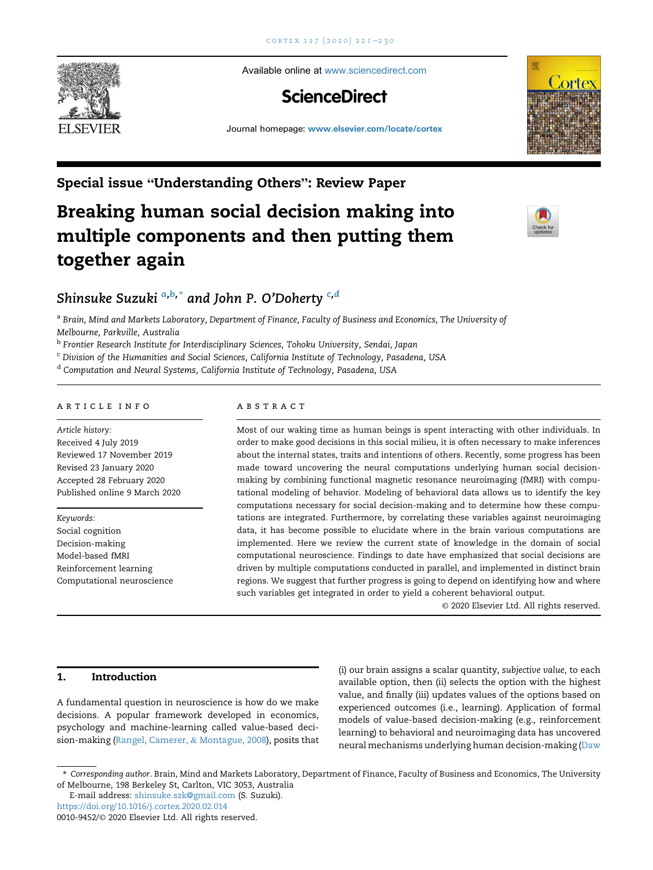

Available online at [www.sciencedirect.com](www.sciencedirect.com/science/journal/00109452)

## **ScienceDirect**

Journal homepage: <www.elsevier.com/locate/cortex>



Special issue "Understanding Others": Review Paper

# Breaking human social decision making into multiple components and then putting them together again



### Shinsuke Suzuki  $a,b,*$  $a,b,*$  $a,b,*$  $a,b,*$  an[d](#page-0-3) John P. O'Doherty  $c,d$  $c,d$

<span id="page-0-0"></span>a Brain, Mind and Markets Laboratory, Department of Finance, Faculty of Business and Economics, The University of Melbourne, Parkville, Australia

<span id="page-0-1"></span>**b Frontier Research Institute for Interdisciplinary Sciences, Tohoku University, Sendai, Japan** 

<span id="page-0-2"></span><sup>c</sup> Division of the Humanities and Social Sciences, California Institute of Technology, Pasadena, USA

<span id="page-0-3"></span><sup>d</sup> Computation and Neural Systems, California Institute of Technology, Pasadena, USA

#### article info

Article history: Received 4 July 2019 Reviewed 17 November 2019 Revised 23 January 2020 Accepted 28 February 2020 Published online 9 March 2020

Keywords: Social cognition Decision-making Model-based fMRI Reinforcement learning Computational neuroscience

#### **ABSTRACT**

Most of our waking time as human beings is spent interacting with other individuals. In order to make good decisions in this social milieu, it is often necessary to make inferences about the internal states, traits and intentions of others. Recently, some progress has been made toward uncovering the neural computations underlying human social decisionmaking by combining functional magnetic resonance neuroimaging (fMRI) with computational modeling of behavior. Modeling of behavioral data allows us to identify the key computations necessary for social decision-making and to determine how these computations are integrated. Furthermore, by correlating these variables against neuroimaging data, it has become possible to elucidate where in the brain various computations are implemented. Here we review the current state of knowledge in the domain of social computational neuroscience. Findings to date have emphasized that social decisions are driven by multiple computations conducted in parallel, and implemented in distinct brain regions. We suggest that further progress is going to depend on identifying how and where such variables get integrated in order to yield a coherent behavioral output.

© 2020 Elsevier Ltd. All rights reserved.

#### 1. Introduction

A fundamental question in neuroscience is how do we make decisions. A popular framework developed in economics, psychology and machine-learning called value-based decision-making ([Rangel, Camerer,](#page-9-0) & [Montague, 2008\)](#page-9-0), posits that

(i) our brain assigns a scalar quantity, subjective value, to each available option, then (ii) selects the option with the highest value, and finally (iii) updates values of the options based on experienced outcomes (i.e., learning). Application of formal models of value-based decision-making (e.g., reinforcement learning) to behavioral and neuroimaging data has uncovered neural mechanisms underlying human decision-making [\(Daw](#page-7-0)

<https://doi.org/10.1016/j.cortex.2020.02.014>

<sup>\*</sup> Corresponding author. Brain, Mind and Markets Laboratory, Department of Finance, Faculty of Business and Economics, The University of Melbourne, 198 Berkeley St, Carlton, VIC 3053, Australia

E-mail address: [shinsuke.szk@gmail.com](mailto:shinsuke.szk@gmail.com) (S. Suzuki).

<sup>0010-9452/</sup>© 2020 Elsevier Ltd. All rights reserved.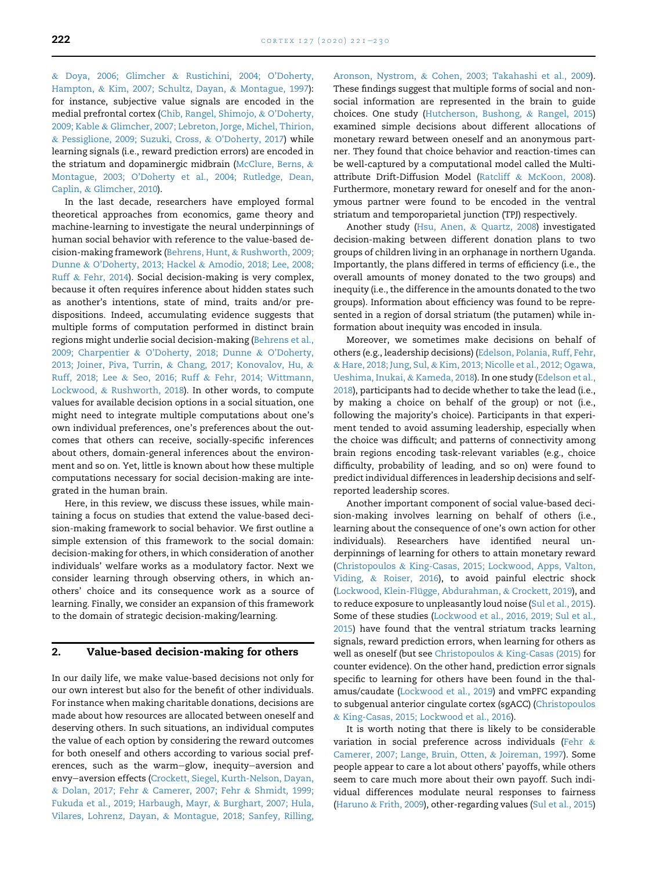& [Doya, 2006; Glimcher](#page-7-0) & [Rustichini, 2004; O'Doherty,](#page-7-0) [Hampton,](#page-7-0) & [Kim, 2007; Schultz, Dayan,](#page-7-0) & [Montague, 1997\)](#page-7-0): for instance, subjective value signals are encoded in the medial prefrontal cortex ([Chib, Rangel, Shimojo,](#page-7-1) & [O'Doherty,](#page-7-1) [2009; Kable](#page-7-1) & [Glimcher, 2007; Lebreton, Jorge, Michel, Thirion,](#page-7-1) & [Pessiglione, 2009; Suzuki, Cross,](#page-7-1) & [O'Doherty, 2017](#page-7-1)) while learning signals (i.e., reward prediction errors) are encoded in the striatum and dopaminergic midbrain [\(McClure, Berns,](#page-8-0) & [Montague, 2003; O'Doherty et al., 2004; Rutledge, Dean,](#page-8-0) [Caplin,](#page-8-0) & [Glimcher, 2010\)](#page-8-0).

In the last decade, researchers have employed formal theoretical approaches from economics, game theory and machine-learning to investigate the neural underpinnings of human social behavior with reference to the value-based decision-making framework [\(Behrens, Hunt,](#page-7-2) & [Rushworth, 2009;](#page-7-2) [Dunne](#page-7-2) & [O'Doherty, 2013; Hackel](#page-7-2) & [Amodio, 2018; Lee, 2008;](#page-7-2) [Ruff](#page-7-2) & [Fehr, 2014](#page-7-2)). Social decision-making is very complex, because it often requires inference about hidden states such as another's intentions, state of mind, traits and/or predispositions. Indeed, accumulating evidence suggests that multiple forms of computation performed in distinct brain regions might underlie social decision-making ([Behrens et al.,](#page-7-2) [2009; Charpentier](#page-7-2) & [O'Doherty, 2018; Dunne](#page-7-2) & [O'Doherty,](#page-7-2) [2013; Joiner, Piva, Turrin,](#page-7-2) & [Chang, 2017; Konovalov, Hu,](#page-7-2) & [Ruff, 2018; Lee](#page-7-2) & [Seo, 2016; Ruff](#page-7-2) & [Fehr, 2014; Wittmann,](#page-7-2) [Lockwood,](#page-7-2) & [Rushworth, 2018\)](#page-7-2). In other words, to compute values for available decision options in a social situation, one might need to integrate multiple computations about one's own individual preferences, one's preferences about the outcomes that others can receive, socially-specific inferences about others, domain-general inferences about the environment and so on. Yet, little is known about how these multiple computations necessary for social decision-making are integrated in the human brain.

Here, in this review, we discuss these issues, while maintaining a focus on studies that extend the value-based decision-making framework to social behavior. We first outline a simple extension of this framework to the social domain: decision-making for others, in which consideration of another individuals' welfare works as a modulatory factor. Next we consider learning through observing others, in which anothers' choice and its consequence work as a source of learning. Finally, we consider an expansion of this framework to the domain of strategic decision-making/learning.

#### <span id="page-1-0"></span>2. Value-based decision-making for others

In our daily life, we make value-based decisions not only for our own interest but also for the benefit of other individuals. For instance when making charitable donations, decisions are made about how resources are allocated between oneself and deserving others. In such situations, an individual computes the value of each option by considering the reward outcomes for both oneself and others according to various social preferences, such as the warm-glow, inequity-aversion and envy-aversion effects ([Crockett, Siegel, Kurth-Nelson, Dayan,](#page-7-3) & [Dolan, 2017; Fehr](#page-7-3) & [Camerer, 2007; Fehr](#page-7-3) & [Shmidt, 1999;](#page-7-3) [Fukuda et al., 2019; Harbaugh, Mayr,](#page-7-3) & [Burghart, 2007; Hula,](#page-7-3) [Vilares, Lohrenz, Dayan,](#page-7-3) & [Montague, 2018; Sanfey, Rilling,](#page-7-3)

[Aronson, Nystrom,](#page-7-3) & [Cohen, 2003; Takahashi et al., 2009\)](#page-7-3). These findings suggest that multiple forms of social and nonsocial information are represented in the brain to guide choices. One study [\(Hutcherson, Bushong,](#page-8-1) & [Rangel, 2015\)](#page-8-1) examined simple decisions about different allocations of monetary reward between oneself and an anonymous partner. They found that choice behavior and reaction-times can be well-captured by a computational model called the Multiattribute Drift-Diffusion Model [\(Ratcliff](#page-9-1) & [McKoon, 2008\)](#page-9-1). Furthermore, monetary reward for oneself and for the anonymous partner were found to be encoded in the ventral striatum and temporoparietal junction (TPJ) respectively.

Another study [\(Hsu, Anen,](#page-8-2) & [Quartz, 2008](#page-8-2)) investigated decision-making between different donation plans to two groups of children living in an orphanage in northern Uganda. Importantly, the plans differed in terms of efficiency (i.e., the overall amounts of money donated to the two groups) and inequity (i.e., the difference in the amounts donated to the two groups). Information about efficiency was found to be represented in a region of dorsal striatum (the putamen) while information about inequity was encoded in insula.

Moreover, we sometimes make decisions on behalf of others (e.g., leadership decisions) [\(Edelson, Polania, Ruff, Fehr,](#page-7-4) & [Hare, 2018; Jung, Sul,](#page-7-4) & [Kim, 2013; Nicolle et al., 2012; Ogawa,](#page-7-4) [Ueshima, Inukai,](#page-7-4) & [Kameda, 2018\)](#page-7-4). In one study ([Edelson et al.,](#page-7-4) [2018\)](#page-7-4), participants had to decide whether to take the lead (i.e., by making a choice on behalf of the group) or not (i.e., following the majority's choice). Participants in that experiment tended to avoid assuming leadership, especially when the choice was difficult; and patterns of connectivity among brain regions encoding task-relevant variables (e.g., choice difficulty, probability of leading, and so on) were found to predict individual differences in leadership decisions and selfreported leadership scores.

Another important component of social value-based decision-making involves learning on behalf of others (i.e., learning about the consequence of one's own action for other individuals). Researchers have identified neural underpinnings of learning for others to attain monetary reward ([Christopoulos](#page-7-5) & [King-Casas, 2015; Lockwood, Apps, Valton,](#page-7-5) [Viding,](#page-7-5) & [Roiser, 2016](#page-7-5)), to avoid painful electric shock (Lockwood, Klein-Flügge, Abdurahman, & [Crockett, 2019\)](#page-8-3), and to reduce exposure to unpleasantly loud noise ([Sul et al., 2015\)](#page-9-2). Some of these studies ([Lockwood et al., 2016, 2019; Sul et al.,](#page-8-4) [2015\)](#page-8-4) have found that the ventral striatum tracks learning signals, reward prediction errors, when learning for others as well as oneself (but see [Christopoulos](#page-7-5) & [King-Casas \(2015\)](#page-7-5) for counter evidence). On the other hand, prediction error signals specific to learning for others have been found in the thalamus/caudate [\(Lockwood et al., 2019\)](#page-8-3) and vmPFC expanding to subgenual anterior cingulate cortex (sgACC) [\(Christopoulos](#page-7-5) & [King-Casas, 2015; Lockwood et al., 2016](#page-7-5)).

It is worth noting that there is likely to be considerable variation in social preference across individuals [\(Fehr](#page-7-6) & [Camerer, 2007; Lange, Bruin, Otten,](#page-7-6) & [Joireman, 1997](#page-7-6)). Some people appear to care a lot about others' payoffs, while others seem to care much more about their own payoff. Such individual differences modulate neural responses to fairness ([Haruno](#page-8-5) & [Frith, 2009\)](#page-8-5), other-regarding values [\(Sul et al., 2015\)](#page-9-2)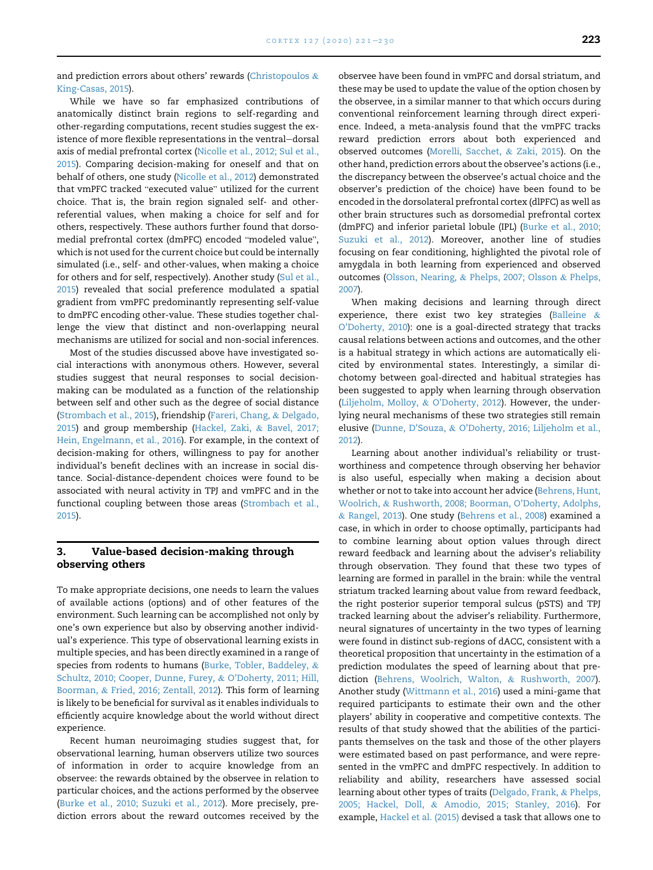and prediction errors about others' rewards [\(Christopoulos](#page-7-5) & [King-Casas, 2015\)](#page-7-5).

While we have so far emphasized contributions of anatomically distinct brain regions to self-regarding and other-regarding computations, recent studies suggest the existence of more flexible representations in the ventral-dorsal axis of medial prefrontal cortex ([Nicolle et al., 2012; Sul et al.,](#page-8-6) [2015](#page-8-6)). Comparing decision-making for oneself and that on behalf of others, one study [\(Nicolle et al., 2012](#page-8-6)) demonstrated that vmPFC tracked "executed value" utilized for the current choice. That is, the brain region signaled self- and otherreferential values, when making a choice for self and for others, respectively. These authors further found that dorso-medial prefrontal cortex (dmPFC) encoded "modeled value", which is not used for the current choice but could be internally simulated (i.e., self- and other-values, when making a choice for others and for self, respectively). Another study [\(Sul et al.,](#page-9-2) [2015](#page-9-2)) revealed that social preference modulated a spatial gradient from vmPFC predominantly representing self-value to dmPFC encoding other-value. These studies together challenge the view that distinct and non-overlapping neural mechanisms are utilized for social and non-social inferences.

Most of the studies discussed above have investigated social interactions with anonymous others. However, several studies suggest that neural responses to social decisionmaking can be modulated as a function of the relationship between self and other such as the degree of social distance [\(Strombach et al., 2015](#page-9-3)), friendship [\(Fareri, Chang,](#page-7-7) & [Delgado,](#page-7-7) [2015](#page-7-7)) and group membership ([Hackel, Zaki,](#page-8-7) & [Bavel, 2017;](#page-8-7) [Hein, Engelmann, et al., 2016](#page-8-7)). For example, in the context of decision-making for others, willingness to pay for another individual's benefit declines with an increase in social distance. Social-distance-dependent choices were found to be associated with neural activity in TPJ and vmPFC and in the functional coupling between those areas [\(Strombach et al.,](#page-9-3) [2015](#page-9-3)).

#### <span id="page-2-0"></span>3. Value-based decision-making through observing others

To make appropriate decisions, one needs to learn the values of available actions (options) and of other features of the environment. Such learning can be accomplished not only by one's own experience but also by observing another individual's experience. This type of observational learning exists in multiple species, and has been directly examined in a range of species from rodents to humans [\(Burke, Tobler, Baddeley,](#page-7-8) & [Schultz, 2010; Cooper, Dunne, Furey,](#page-7-8) & [O'Doherty, 2011; Hill,](#page-7-8) [Boorman,](#page-7-8) & [Fried, 2016; Zentall, 2012\)](#page-7-8). This form of learning is likely to be beneficial for survival as it enables individuals to efficiently acquire knowledge about the world without direct experience.

Recent human neuroimaging studies suggest that, for observational learning, human observers utilize two sources of information in order to acquire knowledge from an observee: the rewards obtained by the observee in relation to particular choices, and the actions performed by the observee [\(Burke et al., 2010; Suzuki et al., 2012](#page-7-8)). More precisely, prediction errors about the reward outcomes received by the observee have been found in vmPFC and dorsal striatum, and these may be used to update the value of the option chosen by the observee, in a similar manner to that which occurs during conventional reinforcement learning through direct experience. Indeed, a meta-analysis found that the vmPFC tracks reward prediction errors about both experienced and observed outcomes [\(Morelli, Sacchet,](#page-8-8) & [Zaki, 2015\)](#page-8-8). On the other hand, prediction errors about the observee's actions (i.e., the discrepancy between the observee's actual choice and the observer's prediction of the choice) have been found to be encoded in the dorsolateral prefrontal cortex (dlPFC) as well as other brain structures such as dorsomedial prefrontal cortex (dmPFC) and inferior parietal lobule (IPL) [\(Burke et al., 2010;](#page-7-8) [Suzuki et al., 2012](#page-7-8)). Moreover, another line of studies focusing on fear conditioning, highlighted the pivotal role of amygdala in both learning from experienced and observed outcomes [\(Olsson, Nearing,](#page-8-9) & [Phelps, 2007; Olsson](#page-8-9) & [Phelps,](#page-8-9) [2007](#page-8-9)).

When making decisions and learning through direct experience, there exist two key strategies ([Balleine](#page-7-9)  $\&$ [O'Doherty, 2010\)](#page-7-9): one is a goal-directed strategy that tracks causal relations between actions and outcomes, and the other is a habitual strategy in which actions are automatically elicited by environmental states. Interestingly, a similar dichotomy between goal-directed and habitual strategies has been suggested to apply when learning through observation [\(Liljeholm, Molloy,](#page-8-10) & [O'Doherty, 2012\)](#page-8-10). However, the underlying neural mechanisms of these two strategies still remain elusive ([Dunne, D'Souza,](#page-7-10) & [O'Doherty, 2016; Liljeholm et al.,](#page-7-10) [2012](#page-7-10)).

Learning about another individual's reliability or trustworthiness and competence through observing her behavior is also useful, especially when making a decision about whether or not to take into account her advice [\(Behrens, Hunt,](#page-7-11) [Woolrich,](#page-7-11) & [Rushworth, 2008; Boorman, O'Doherty, Adolphs,](#page-7-11) & [Rangel, 2013\)](#page-7-11). One study ([Behrens et al., 2008\)](#page-7-11) examined a case, in which in order to choose optimally, participants had to combine learning about option values through direct reward feedback and learning about the adviser's reliability through observation. They found that these two types of learning are formed in parallel in the brain: while the ventral striatum tracked learning about value from reward feedback, the right posterior superior temporal sulcus (pSTS) and TPJ tracked learning about the adviser's reliability. Furthermore, neural signatures of uncertainty in the two types of learning were found in distinct sub-regions of dACC, consistent with a theoretical proposition that uncertainty in the estimation of a prediction modulates the speed of learning about that prediction [\(Behrens, Woolrich, Walton,](#page-7-12) & [Rushworth, 2007](#page-7-12)). Another study [\(Wittmann et al., 2016](#page-9-4)) used a mini-game that required participants to estimate their own and the other players' ability in cooperative and competitive contexts. The results of that study showed that the abilities of the participants themselves on the task and those of the other players were estimated based on past performance, and were represented in the vmPFC and dmPFC respectively. In addition to reliability and ability, researchers have assessed social learning about other types of traits [\(Delgado, Frank,](#page-7-13) & [Phelps,](#page-7-13) [2005; Hackel, Doll,](#page-7-13) & [Amodio, 2015; Stanley, 2016\)](#page-7-13). For example, [Hackel et al. \(2015\)](#page-7-14) devised a task that allows one to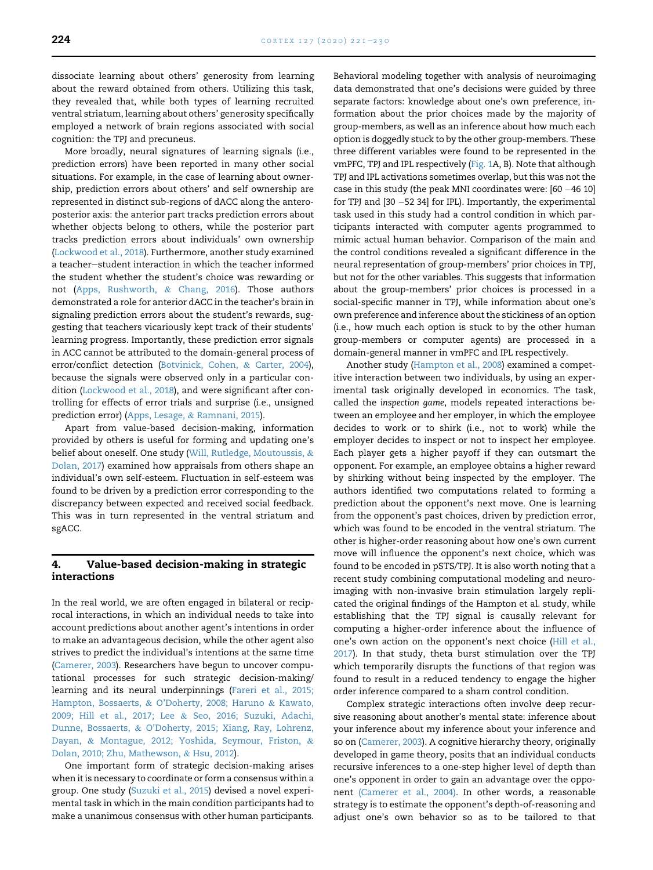dissociate learning about others' generosity from learning about the reward obtained from others. Utilizing this task, they revealed that, while both types of learning recruited ventral striatum, learning about others' generosity specifically employed a network of brain regions associated with social cognition: the TPJ and precuneus.

More broadly, neural signatures of learning signals (i.e., prediction errors) have been reported in many other social situations. For example, in the case of learning about ownership, prediction errors about others' and self ownership are represented in distinct sub-regions of dACC along the anteroposterior axis: the anterior part tracks prediction errors about whether objects belong to others, while the posterior part tracks prediction errors about individuals' own ownership ([Lockwood et al., 2018](#page-8-11)). Furthermore, another study examined a teacher-student interaction in which the teacher informed the student whether the student's choice was rewarding or not ([Apps, Rushworth,](#page-7-15) & [Chang, 2016](#page-7-15)). Those authors demonstrated a role for anterior dACC in the teacher's brain in signaling prediction errors about the student's rewards, suggesting that teachers vicariously kept track of their students' learning progress. Importantly, these prediction error signals in ACC cannot be attributed to the domain-general process of error/conflict detection ([Botvinick, Cohen,](#page-7-16) & [Carter, 2004\)](#page-7-16), because the signals were observed only in a particular condition [\(Lockwood et al., 2018\)](#page-8-11), and were significant after controlling for effects of error trials and surprise (i.e., unsigned prediction error) [\(Apps, Lesage,](#page-6-0) & [Ramnani, 2015](#page-6-0)).

Apart from value-based decision-making, information provided by others is useful for forming and updating one's belief about oneself. One study [\(Will, Rutledge, Moutoussis,](#page-9-5) & [Dolan, 2017\)](#page-9-5) examined how appraisals from others shape an individual's own self-esteem. Fluctuation in self-esteem was found to be driven by a prediction error corresponding to the discrepancy between expected and received social feedback. This was in turn represented in the ventral striatum and sgACC.

#### 4. Value-based decision-making in strategic interactions

In the real world, we are often engaged in bilateral or reciprocal interactions, in which an individual needs to take into account predictions about another agent's intentions in order to make an advantageous decision, while the other agent also strives to predict the individual's intentions at the same time ([Camerer, 2003\)](#page-7-17). Researchers have begun to uncover computational processes for such strategic decision-making/ learning and its neural underpinnings ([Fareri et al., 2015;](#page-7-7) [Hampton, Bossaerts,](#page-7-7) & [O'Doherty, 2008; Haruno](#page-7-7) & [Kawato,](#page-7-7) [2009; Hill et al., 2017; Lee](#page-7-7) & [Seo, 2016; Suzuki, Adachi,](#page-7-7) [Dunne, Bossaerts,](#page-7-7) & [O'Doherty, 2015; Xiang, Ray, Lohrenz,](#page-7-7) [Dayan,](#page-7-7) & [Montague, 2012; Yoshida, Seymour, Friston,](#page-7-7) & [Dolan, 2010; Zhu, Mathewson,](#page-7-7) & [Hsu, 2012\)](#page-7-7).

One important form of strategic decision-making arises when it is necessary to coordinate or form a consensus within a group. One study ([Suzuki et al., 2015](#page-9-6)) devised a novel experimental task in which in the main condition participants had to make a unanimous consensus with other human participants. Behavioral modeling together with analysis of neuroimaging data demonstrated that one's decisions were guided by three separate factors: knowledge about one's own preference, information about the prior choices made by the majority of group-members, as well as an inference about how much each option is doggedly stuck to by the other group-members. These three different variables were found to be represented in the vmPFC, TPJ and IPL respectively ([Fig. 1](#page-4-0)A, B). Note that although TPJ and IPL activations sometimes overlap, but this was not the case in this study (the peak MNI coordinates were:  $[60 - 46 10]$ for TPJ and  $[30 - 52 34]$  for IPL). Importantly, the experimental task used in this study had a control condition in which participants interacted with computer agents programmed to mimic actual human behavior. Comparison of the main and the control conditions revealed a significant difference in the neural representation of group-members' prior choices in TPJ, but not for the other variables. This suggests that information about the group-members' prior choices is processed in a social-specific manner in TPJ, while information about one's own preference and inference about the stickiness of an option (i.e., how much each option is stuck to by the other human group-members or computer agents) are processed in a domain-general manner in vmPFC and IPL respectively.

Another study [\(Hampton et al., 2008\)](#page-8-12) examined a competitive interaction between two individuals, by using an experimental task originally developed in economics. The task, called the inspection game, models repeated interactions between an employee and her employer, in which the employee decides to work or to shirk (i.e., not to work) while the employer decides to inspect or not to inspect her employee. Each player gets a higher payoff if they can outsmart the opponent. For example, an employee obtains a higher reward by shirking without being inspected by the employer. The authors identified two computations related to forming a prediction about the opponent's next move. One is learning from the opponent's past choices, driven by prediction error, which was found to be encoded in the ventral striatum. The other is higher-order reasoning about how one's own current move will influence the opponent's next choice, which was found to be encoded in pSTS/TPJ. It is also worth noting that a recent study combining computational modeling and neuroimaging with non-invasive brain stimulation largely replicated the original findings of the Hampton et al. study, while establishing that the TPJ signal is causally relevant for computing a higher-order inference about the influence of one's own action on the opponent's next choice [\(Hill et al.,](#page-8-13) [2017\)](#page-8-13). In that study, theta burst stimulation over the TPJ which temporarily disrupts the functions of that region was found to result in a reduced tendency to engage the higher order inference compared to a sham control condition.

Complex strategic interactions often involve deep recursive reasoning about another's mental state: inference about your inference about my inference about your inference and so on ([Camerer, 2003](#page-7-17)). A cognitive hierarchy theory, originally developed in game theory, posits that an individual conducts recursive inferences to a one-step higher level of depth than one's opponent in order to gain an advantage over the opponent [\(Camerer et al., 2004\).](#page-7-18) In other words, a reasonable strategy is to estimate the opponent's depth-of-reasoning and adjust one's own behavior so as to be tailored to that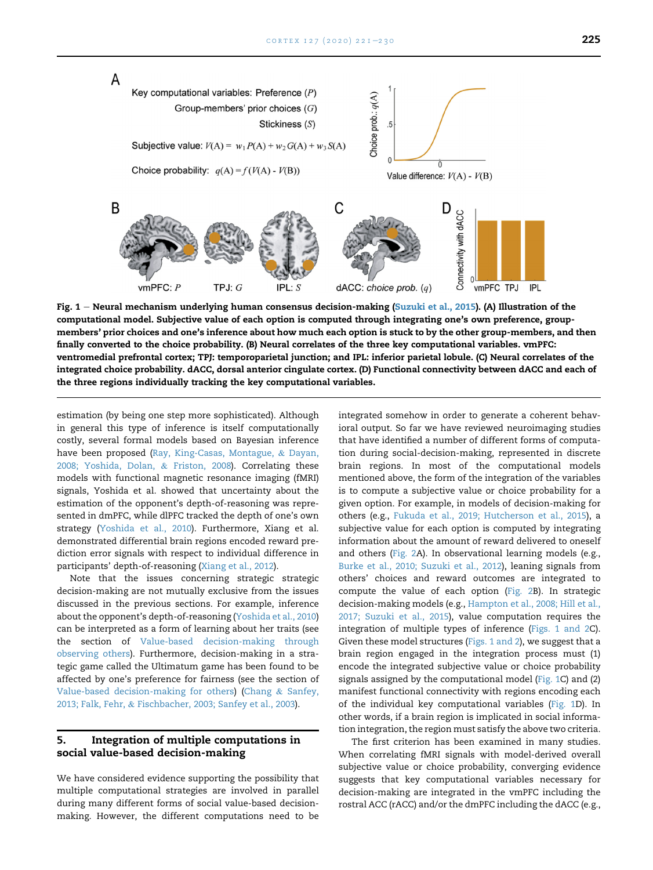<span id="page-4-0"></span>

Fig. 1 - Neural mechanism underlying human consensus decision-making [\(Suzuki et al., 2015](#page-9-6)). (A) Illustration of the computational model. Subjective value of each option is computed through integrating one's own preference, groupmembers' prior choices and one's inference about how much each option is stuck to by the other group-members, and then finally converted to the choice probability. (B) Neural correlates of the three key computational variables. vmPFC: ventromedial prefrontal cortex; TPJ: temporoparietal junction; and IPL: inferior parietal lobule. (C) Neural correlates of the integrated choice probability. dACC, dorsal anterior cingulate cortex. (D) Functional connectivity between dACC and each of the three regions individually tracking the key computational variables.

estimation (by being one step more sophisticated). Although in general this type of inference is itself computationally costly, several formal models based on Bayesian inference have been proposed [\(Ray, King-Casas, Montague,](#page-9-7) & [Dayan,](#page-9-7) [2008; Yoshida, Dolan,](#page-9-7) & [Friston, 2008\)](#page-9-7). Correlating these models with functional magnetic resonance imaging (fMRI) signals, Yoshida et al. showed that uncertainty about the estimation of the opponent's depth-of-reasoning was represented in dmPFC, while dlPFC tracked the depth of one's own strategy ([Yoshida et al., 2010\)](#page-9-8). Furthermore, Xiang et al. demonstrated differential brain regions encoded reward prediction error signals with respect to individual difference in participants' depth-of-reasoning ([Xiang et al., 2012\)](#page-9-9).

Note that the issues concerning strategic strategic decision-making are not mutually exclusive from the issues discussed in the previous sections. For example, inference about the opponent's depth-of-reasoning [\(Yoshida et al., 2010\)](#page-9-8) can be interpreted as a form of learning about her traits (see the section of [Value-based decision-making through](#page-2-0) [observing others\)](#page-2-0). Furthermore, decision-making in a strategic game called the Ultimatum game has been found to be affected by one's preference for fairness (see the section of [Value-based decision-making for others\)](#page-1-0) ([Chang](#page-7-19) & [Sanfey,](#page-7-19) [2013; Falk, Fehr,](#page-7-19) & [Fischbacher, 2003; Sanfey et al., 2003](#page-7-19)).

#### 5. Integration of multiple computations in social value-based decision-making

We have considered evidence supporting the possibility that multiple computational strategies are involved in parallel during many different forms of social value-based decisionmaking. However, the different computations need to be integrated somehow in order to generate a coherent behavioral output. So far we have reviewed neuroimaging studies that have identified a number of different forms of computation during social-decision-making, represented in discrete brain regions. In most of the computational models mentioned above, the form of the integration of the variables is to compute a subjective value or choice probability for a given option. For example, in models of decision-making for others (e.g., [Fukuda et al., 2019; Hutcherson et al., 2015](#page-7-20)), a subjective value for each option is computed by integrating information about the amount of reward delivered to oneself and others [\(Fig. 2A](#page-5-0)). In observational learning models (e.g., [Burke et al., 2010; Suzuki et al., 2012\)](#page-7-8), leaning signals from others' choices and reward outcomes are integrated to compute the value of each option ([Fig. 2](#page-5-0)B). In strategic decision-making models (e.g., [Hampton et al., 2008; Hill et al.,](#page-8-12) [2017; Suzuki et al., 2015](#page-8-12)), value computation requires the integration of multiple types of inference ([Figs. 1 and 2C](#page-4-0)). Given these model structures [\(Figs. 1 and 2](#page-4-0)), we suggest that a brain region engaged in the integration process must (1) encode the integrated subjective value or choice probability signals assigned by the computational model ([Fig. 1](#page-4-0)C) and (2) manifest functional connectivity with regions encoding each of the individual key computational variables ([Fig. 1](#page-4-0)D). In other words, if a brain region is implicated in social information integration, the region must satisfy the above two criteria.

The first criterion has been examined in many studies. When correlating fMRI signals with model-derived overall subjective value or choice probability, converging evidence suggests that key computational variables necessary for decision-making are integrated in the vmPFC including the rostral ACC (rACC) and/or the dmPFC including the dACC (e.g.,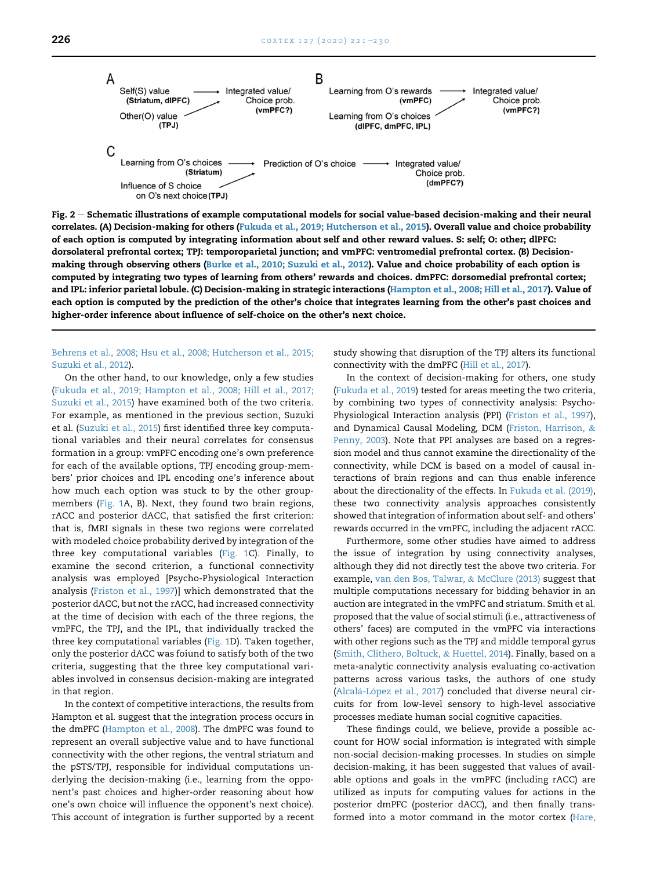<span id="page-5-0"></span>

Fig.  $2 -$  Schematic illustrations of example computational models for social value-based decision-making and their neural correlates. (A) Decision-making for others [\(Fukuda et al., 2019; Hutcherson et al., 2015](#page-7-20)). Overall value and choice probability of each option is computed by integrating information about self and other reward values. S: self; O: other; dlPFC: dorsolateral prefrontal cortex; TPJ: temporoparietal junction; and vmPFC: ventromedial prefrontal cortex. (B) Decision-making through observing others [\(Burke et al., 2010; Suzuki et al., 2012\)](#page-7-8). Value and choice probability of each option is computed by integrating two types of learning from others' rewards and choices. dmPFC: dorsomedial prefrontal cortex; and IPL: inferior parietal lobule. (C) Decision-making in strategic interactions ([Hampton et al., 2008; Hill et al., 2017\)](#page-8-12). Value of each option is computed by the prediction of the other's choice that integrates learning from the other's past choices and higher-order inference about influence of self-choice on the other's next choice.

[Behrens et al., 2008; Hsu et al., 2008; Hutcherson et al., 2015;](#page-7-11) [Suzuki et al., 2012](#page-7-11)).

On the other hand, to our knowledge, only a few studies ([Fukuda et al., 2019; Hampton et al., 2008; Hill et al., 2017;](#page-7-20) [Suzuki et al., 2015](#page-7-20)) have examined both of the two criteria. For example, as mentioned in the previous section, Suzuki et al. ([Suzuki et al., 2015](#page-9-6)) first identified three key computational variables and their neural correlates for consensus formation in a group: vmPFC encoding one's own preference for each of the available options, TPJ encoding group-members' prior choices and IPL encoding one's inference about how much each option was stuck to by the other groupmembers ([Fig. 1A](#page-4-0), B). Next, they found two brain regions, rACC and posterior dACC, that satisfied the first criterion: that is, fMRI signals in these two regions were correlated with modeled choice probability derived by integration of the three key computational variables ([Fig. 1C](#page-4-0)). Finally, to examine the second criterion, a functional connectivity analysis was employed [Psycho-Physiological Interaction analysis [\(Friston et al., 1997\)](#page-7-21)] which demonstrated that the posterior dACC, but not the rACC, had increased connectivity at the time of decision with each of the three regions, the vmPFC, the TPJ, and the IPL, that individually tracked the three key computational variables ([Fig. 1D](#page-4-0)). Taken together, only the posterior dACC was foiund to satisfy both of the two criteria, suggesting that the three key computational variables involved in consensus decision-making are integrated in that region.

In the context of competitive interactions, the results from Hampton et al. suggest that the integration process occurs in the dmPFC ([Hampton et al., 2008](#page-8-12)). The dmPFC was found to represent an overall subjective value and to have functional connectivity with the other regions, the ventral striatum and the pSTS/TPJ, responsible for individual computations underlying the decision-making (i.e., learning from the opponent's past choices and higher-order reasoning about how one's own choice will influence the opponent's next choice). This account of integration is further supported by a recent

study showing that disruption of the TPJ alters its functional connectivity with the dmPFC [\(Hill et al., 2017\)](#page-8-13).

In the context of decision-making for others, one study ([Fukuda et al., 2019](#page-7-20)) tested for areas meeting the two criteria, by combining two types of connectivity analysis: Psycho-Physiological Interaction analysis (PPI) ([Friston et al., 1997\)](#page-7-21), and Dynamical Causal Modeling, DCM [\(Friston, Harrison,](#page-7-22) & [Penny, 2003\)](#page-7-22). Note that PPI analyses are based on a regression model and thus cannot examine the directionality of the connectivity, while DCM is based on a model of causal interactions of brain regions and can thus enable inference about the directionality of the effects. In [Fukuda et al. \(2019\)](#page-7-20), these two connectivity analysis approaches consistently showed that integration of information about self- and others' rewards occurred in the vmPFC, including the adjacent rACC.

Furthermore, some other studies have aimed to address the issue of integration by using connectivity analyses, although they did not directly test the above two criteria. For example, [van den Bos, Talwar,](#page-9-10) & [McClure \(2013\)](#page-9-10) suggest that multiple computations necessary for bidding behavior in an auction are integrated in the vmPFC and striatum. Smith et al. proposed that the value of social stimuli (i.e., attractiveness of others' faces) are computed in the vmPFC via interactions with other regions such as the TPJ and middle temporal gyrus ([Smith, Clithero, Boltuck,](#page-9-11) & [Huettel, 2014\)](#page-9-11). Finally, based on a meta-analytic connectivity analysis evaluating co-activation patterns across various tasks, the authors of one study ([Alcal](#page-6-1)á[-L](#page-6-1)ópez et al., 2017) concluded that diverse neural circuits for from low-level sensory to high-level associative processes mediate human social cognitive capacities.

These findings could, we believe, provide a possible account for HOW social information is integrated with simple non-social decision-making processes. In studies on simple decision-making, it has been suggested that values of available options and goals in the vmPFC (including rACC) are utilized as inputs for computing values for actions in the posterior dmPFC (posterior dACC), and then finally transformed into a motor command in the motor cortex ([Hare,](#page-8-14)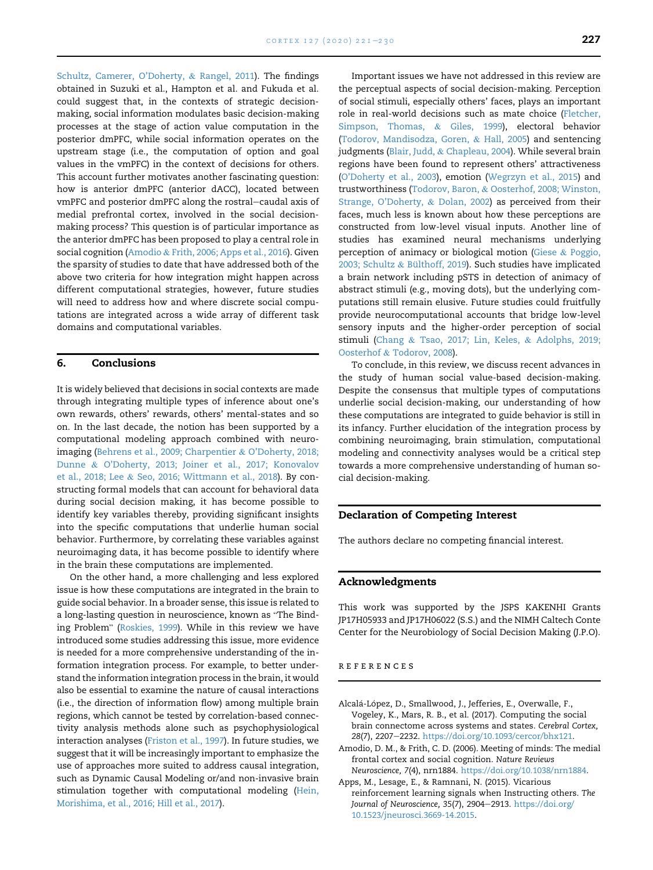[Schultz, Camerer, O'Doherty,](#page-8-14) & [Rangel, 2011](#page-8-14)). The findings obtained in Suzuki et al., Hampton et al. and Fukuda et al. could suggest that, in the contexts of strategic decisionmaking, social information modulates basic decision-making processes at the stage of action value computation in the posterior dmPFC, while social information operates on the upstream stage (i.e., the computation of option and goal values in the vmPFC) in the context of decisions for others. This account further motivates another fascinating question: how is anterior dmPFC (anterior dACC), located between vmPFC and posterior dmPFC along the rostral-caudal axis of medial prefrontal cortex, involved in the social decisionmaking process? This question is of particular importance as the anterior dmPFC has been proposed to play a central role in social cognition ([Amodio](#page-6-2) & [Frith, 2006; Apps et al., 2016](#page-6-2)). Given the sparsity of studies to date that have addressed both of the above two criteria for how integration might happen across different computational strategies, however, future studies will need to address how and where discrete social computations are integrated across a wide array of different task domains and computational variables.

#### 6. Conclusions

It is widely believed that decisions in social contexts are made through integrating multiple types of inference about one's own rewards, others' rewards, others' mental-states and so on. In the last decade, the notion has been supported by a computational modeling approach combined with neuroimaging [\(Behrens et al., 2009; Charpentier](#page-7-2) & [O'Doherty, 2018;](#page-7-2) [Dunne](#page-7-2) & [O'Doherty, 2013; Joiner et al., 2017; Konovalov](#page-7-2) [et al., 2018; Lee](#page-7-2) & [Seo, 2016; Wittmann et al., 2018](#page-7-2)). By constructing formal models that can account for behavioral data during social decision making, it has become possible to identify key variables thereby, providing significant insights into the specific computations that underlie human social behavior. Furthermore, by correlating these variables against neuroimaging data, it has become possible to identify where in the brain these computations are implemented.

On the other hand, a more challenging and less explored issue is how these computations are integrated in the brain to guide social behavior. In a broader sense, this issue is related to guide social behavior. In a broader sense, this issue is related to<br>a long-lasting question in neuroscience, known as "The Bind-.<br>a long-lasting question in neuroscience, known as "The Bind-<br>ing Problem" [\(Roskies, 1999\)](#page-9-12). While in this review we have introduced some studies addressing this issue, more evidence is needed for a more comprehensive understanding of the information integration process. For example, to better understand the information integration process in the brain, it would also be essential to examine the nature of causal interactions (i.e., the direction of information flow) among multiple brain regions, which cannot be tested by correlation-based connectivity analysis methods alone such as psychophysiological interaction analyses ([Friston et al., 1997](#page-7-21)). In future studies, we suggest that it will be increasingly important to emphasize the use of approaches more suited to address causal integration, such as Dynamic Causal Modeling or/and non-invasive brain stimulation together with computational modeling ([Hein,](#page-8-15) [Morishima, et al., 2016; Hill et al., 2017](#page-8-15)).

Important issues we have not addressed in this review are the perceptual aspects of social decision-making. Perception of social stimuli, especially others' faces, plays an important role in real-world decisions such as mate choice [\(Fletcher,](#page-7-23) [Simpson, Thomas,](#page-7-23) & [Giles, 1999](#page-7-23)), electoral behavior [\(Todorov, Mandisodza, Goren,](#page-9-13) & [Hall, 2005\)](#page-9-13) and sentencing judgments [\(Blair, Judd,](#page-7-24) & [Chapleau, 2004\)](#page-7-24). While several brain regions have been found to represent others' attractiveness [\(O'Doherty et al., 2003](#page-9-14)), emotion [\(Wegrzyn et al., 2015](#page-9-15)) and trustworthiness ([Todorov, Baron,](#page-9-16) & [Oosterhof, 2008; Winston,](#page-9-16) [Strange, O'Doherty,](#page-9-16) & [Dolan, 2002\)](#page-9-16) as perceived from their faces, much less is known about how these perceptions are constructed from low-level visual inputs. Another line of studies has examined neural mechanisms underlying perception of animacy or biological motion [\(Giese](#page-7-25) & [Poggio,](#page-7-25) [2003; Schultz](#page-7-25) & Bü[lthoff, 2019\)](#page-7-25). Such studies have implicated a brain network including pSTS in detection of animacy of abstract stimuli (e.g., moving dots), but the underlying computations still remain elusive. Future studies could fruitfully provide neurocomputational accounts that bridge low-level sensory inputs and the higher-order perception of social stimuli [\(Chang](#page-7-26) & [Tsao, 2017; Lin, Keles,](#page-7-26) & [Adolphs, 2019;](#page-7-26) [Oosterhof](#page-7-26) & [Todorov, 2008\)](#page-7-26).

To conclude, in this review, we discuss recent advances in the study of human social value-based decision-making. Despite the consensus that multiple types of computations underlie social decision-making, our understanding of how these computations are integrated to guide behavior is still in its infancy. Further elucidation of the integration process by combining neuroimaging, brain stimulation, computational modeling and connectivity analyses would be a critical step towards a more comprehensive understanding of human social decision-making.

#### Declaration of Competing Interest

The authors declare no competing financial interest.

#### Acknowledgments

This work was supported by the JSPS KAKENHI Grants JP17H05933 and JP17H06022 (S.S.) and the NIMH Caltech Conte Center for the Neurobiology of Social Decision Making (J.P.O).

#### references

- <span id="page-6-1"></span>Alcalá-López, D., Smallwood, J., Jefferies, E., Overwalle, F., Vogeley, K., Mars, R. B., et al. (2017). Computing the social brain connectome across systems and states. Cerebral Cortex, 28(7), 2207-2232. <https://doi.org/10.1093/cercor/bhx121>.
- <span id="page-6-2"></span>Amodio, D. M., & Frith, C. D. (2006). Meeting of minds: The medial frontal cortex and social cognition. Nature Reviews Neuroscience, 7(4), nrn1884. <https://doi.org/10.1038/nrn1884>.

<span id="page-6-0"></span>Apps, M., Lesage, E., & Ramnani, N. (2015). Vicarious reinforcement learning signals when Instructing others. The Journal of Neuroscience, 35(7), 2904-2913. [https://doi.org/](https://doi.org/10.1523/jneurosci.3669-14.2015) [10.1523/jneurosci.3669-14.2015.](https://doi.org/10.1523/jneurosci.3669-14.2015)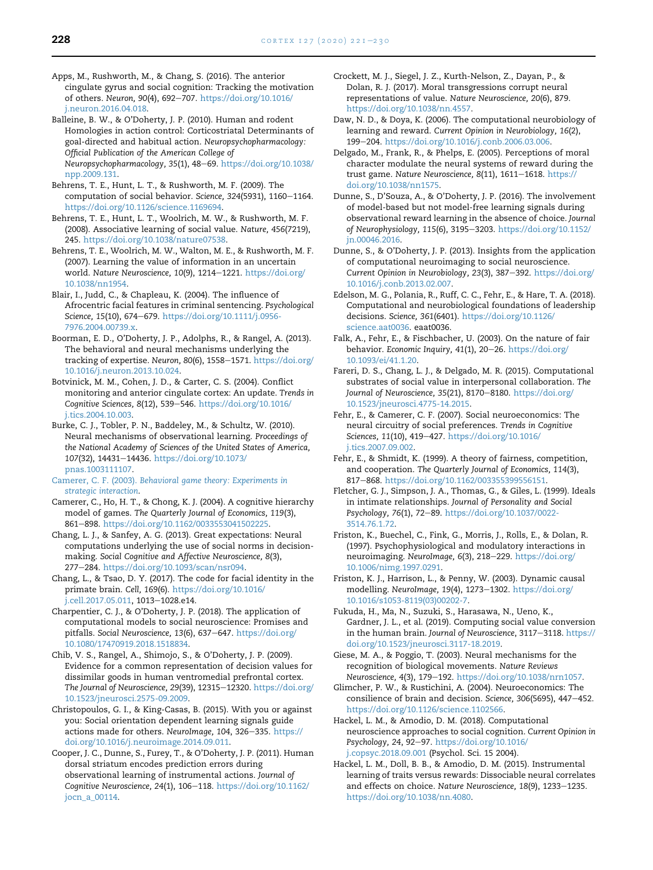<span id="page-7-15"></span>Apps, M., Rushworth, M., & Chang, S. (2016). The anterior cingulate gyrus and social cognition: Tracking the motivation of others. Neuron, 90(4), 692-707. [https://doi.org/10.1016/](https://doi.org/10.1016/j.neuron.2016.04.018) [j.neuron.2016.04.018.](https://doi.org/10.1016/j.neuron.2016.04.018)

<span id="page-7-9"></span>Balleine, B. W., & O'Doherty, J. P. (2010). Human and rodent Homologies in action control: Corticostriatal Determinants of goal-directed and habitual action. Neuropsychopharmacology: Official Publication of the American College of Neuropsychopharmacology, 35(1), 48-69. [https://doi.org/10.1038/](https://doi.org/10.1038/npp.2009.131) [npp.2009.131.](https://doi.org/10.1038/npp.2009.131)

- <span id="page-7-2"></span>Behrens, T. E., Hunt, L. T., & Rushworth, M. F. (2009). The computation of social behavior. Science, 324(5931), 1160-1164. <https://doi.org/10.1126/science.1169694>.
- <span id="page-7-11"></span>Behrens, T. E., Hunt, L. T., Woolrich, M. W., & Rushworth, M. F. (2008). Associative learning of social value. Nature, 456(7219), 245. [https://doi.org/10.1038/nature07538.](https://doi.org/10.1038/nature07538)

<span id="page-7-12"></span>Behrens, T. E., Woolrich, M. W., Walton, M. E., & Rushworth, M. F. (2007). Learning the value of information in an uncertain world. Nature Neuroscience, 10(9), 1214-1221. [https://doi.org/](https://doi.org/10.1038/nn1954) [10.1038/nn1954](https://doi.org/10.1038/nn1954).

<span id="page-7-24"></span>Blair, I., Judd, C., & Chapleau, K. (2004). The influence of Afrocentric facial features in criminal sentencing. Psychological Science, 15(10), 674-679. [https://doi.org/10.1111/j.0956-](https://doi.org/10.1111/j.0956-7976.2004.00739.x) [7976.2004.00739.x.](https://doi.org/10.1111/j.0956-7976.2004.00739.x)

Boorman, E. D., O'Doherty, J. P., Adolphs, R., & Rangel, A. (2013). The behavioral and neural mechanisms underlying the tracking of expertise. Neuron, 80(6), 1558-1571. [https://doi.org/](https://doi.org/10.1016/j.neuron.2013.10.024) [10.1016/j.neuron.2013.10.024](https://doi.org/10.1016/j.neuron.2013.10.024).

<span id="page-7-16"></span>Botvinick, M. M., Cohen, J. D., & Carter, C. S. (2004). Conflict monitoring and anterior cingulate cortex: An update. Trends in Cognitive Sciences, 8(12), 539-546. [https://doi.org/10.1016/](https://doi.org/10.1016/j.tics.2004.10.003) [j.tics.2004.10.003.](https://doi.org/10.1016/j.tics.2004.10.003)

<span id="page-7-8"></span>Burke, C. J., Tobler, P. N., Baddeley, M., & Schultz, W. (2010). Neural mechanisms of observational learning. Proceedings of the National Academy of Sciences of the United States of America, 107(32), 14431-14436. [https://doi.org/10.1073/](https://doi.org/10.1073/pnas.1003111107) [pnas.1003111107](https://doi.org/10.1073/pnas.1003111107).

<span id="page-7-17"></span>Camerer, C. F. (2003). [Behavioral game theory: Experiments in](http://refhub.elsevier.com/S0010-9452(20)30077-0/sref14) [strategic interaction](http://refhub.elsevier.com/S0010-9452(20)30077-0/sref14).

<span id="page-7-18"></span>Camerer, C., Ho, H. T., & Chong, K. J. (2004). A cognitive hierarchy model of games. The Quarterly Journal of Economics, 119(3), 861-898. [https://doi.org/10.1162/0033553041502225.](https://doi.org/10.1162/0033553041502225)

<span id="page-7-19"></span>Chang, L. J., & Sanfey, A. G. (2013). Great expectations: Neural computations underlying the use of social norms in decisionmaking. Social Cognitive and Affective Neuroscience, 8(3), 277-284. [https://doi.org/10.1093/scan/nsr094.](https://doi.org/10.1093/scan/nsr094)

<span id="page-7-26"></span>Chang, L., & Tsao, D. Y. (2017). The code for facial identity in the primate brain. Cell, 169(6). [https://doi.org/10.1016/](https://doi.org/10.1016/j.cell.2017.05.011) [j.cell.2017.05.011,](https://doi.org/10.1016/j.cell.2017.05.011) 1013-1028.e14.

Charpentier, C. J., & O'Doherty, J. P. (2018). The application of computational models to social neuroscience: Promises and pitfalls. Social Neuroscience, 13(6), 637-647. [https://doi.org/](https://doi.org/10.1080/17470919.2018.1518834) [10.1080/17470919.2018.1518834.](https://doi.org/10.1080/17470919.2018.1518834)

<span id="page-7-1"></span>Chib, V. S., Rangel, A., Shimojo, S., & O'Doherty, J. P. (2009). Evidence for a common representation of decision values for dissimilar goods in human ventromedial prefrontal cortex. The Journal of Neuroscience, 29(39), 12315-12320. [https://doi.org/](https://doi.org/10.1523/jneurosci.2575-09.2009) [10.1523/jneurosci.2575-09.2009](https://doi.org/10.1523/jneurosci.2575-09.2009).

<span id="page-7-5"></span>Christopoulos, G. I., & King-Casas, B. (2015). With you or against you: Social orientation dependent learning signals guide actions made for others. NeuroImage, 104, 326-335. [https://](https://doi.org/10.1016/j.neuroimage.2014.09.011) [doi.org/10.1016/j.neuroimage.2014.09.011.](https://doi.org/10.1016/j.neuroimage.2014.09.011)

Cooper, J. C., Dunne, S., Furey, T., & O'Doherty, J. P. (2011). Human dorsal striatum encodes prediction errors during observational learning of instrumental actions. Journal of Cognitive Neuroscience, 24(1), 106-118. [https://doi.org/10.1162/](https://doi.org/10.1162/jocn_a_00114) [jocn\\_a\\_00114](https://doi.org/10.1162/jocn_a_00114).

- <span id="page-7-3"></span>Crockett, M. J., Siegel, J. Z., Kurth-Nelson, Z., Dayan, P., & Dolan, R. J. (2017). Moral transgressions corrupt neural representations of value. Nature Neuroscience, 20(6), 879. [https://doi.org/10.1038/nn.4557.](https://doi.org/10.1038/nn.4557)
- <span id="page-7-0"></span>Daw, N. D., & Doya, K. (2006). The computational neurobiology of learning and reward. Current Opinion in Neurobiology, 16(2), 199-204. [https://doi.org/10.1016/j.conb.2006.03.006.](https://doi.org/10.1016/j.conb.2006.03.006)
- <span id="page-7-13"></span>Delgado, M., Frank, R., & Phelps, E. (2005). Perceptions of moral character modulate the neural systems of reward during the trust game. Nature Neuroscience, 8(11), 1611-1618. [https://](https://doi.org/10.1038/nn1575) [doi.org/10.1038/nn1575.](https://doi.org/10.1038/nn1575)

<span id="page-7-10"></span>Dunne, S., D'Souza, A., & O'Doherty, J. P. (2016). The involvement of model-based but not model-free learning signals during observational reward learning in the absence of choice. Journal of Neurophysiology, 115(6), 3195-3203. [https://doi.org/10.1152/](https://doi.org/10.1152/jn.00046.2016) [jn.00046.2016.](https://doi.org/10.1152/jn.00046.2016)

Dunne, S., & O'Doherty, J. P. (2013). Insights from the application of computational neuroimaging to social neuroscience. Current Opinion in Neurobiology, 23(3), 387-392. [https://doi.org/](https://doi.org/10.1016/j.conb.2013.02.007) [10.1016/j.conb.2013.02.007.](https://doi.org/10.1016/j.conb.2013.02.007)

<span id="page-7-4"></span>Edelson, M. G., Polania, R., Ruff, C. C., Fehr, E., & Hare, T. A. (2018). Computational and neurobiological foundations of leadership decisions. Science, 361(6401). [https://doi.org/10.1126/](https://doi.org/10.1126/science.aat0036) [science.aat0036](https://doi.org/10.1126/science.aat0036). eaat0036.

Falk, A., Fehr, E., & Fischbacher, U. (2003). On the nature of fair behavior. Economic Inquiry, 41(1), 20-26. [https://doi.org/](https://doi.org/10.1093/ei/41.1.20) [10.1093/ei/41.1.20](https://doi.org/10.1093/ei/41.1.20).

<span id="page-7-7"></span>Fareri, D. S., Chang, L. J., & Delgado, M. R. (2015). Computational substrates of social value in interpersonal collaboration. The Journal of Neuroscience, 35(21), 8170-8180. [https://doi.org/](https://doi.org/10.1523/jneurosci.4775-14.2015) [10.1523/jneurosci.4775-14.2015](https://doi.org/10.1523/jneurosci.4775-14.2015).

<span id="page-7-6"></span>Fehr, E., & Camerer, C. F. (2007). Social neuroeconomics: The neural circuitry of social preferences. Trends in Cognitive Sciences, 11(10), 419-427. [https://doi.org/10.1016/](https://doi.org/10.1016/j.tics.2007.09.002) [j.tics.2007.09.002](https://doi.org/10.1016/j.tics.2007.09.002).

Fehr, E., & Shmidt, K. (1999). A theory of fairness, competition, and cooperation. The Quarterly Journal of Economics, 114(3), 817-868. https://doi.org/10.1162/003355399556151

<span id="page-7-23"></span>Fletcher, G. J., Simpson, J. A., Thomas, G., & Giles, L. (1999). Ideals in intimate relationships. Journal of Personality and Social Psychology, 76(1), 72-89. [https://doi.org/10.1037/0022-](https://doi.org/10.1037/0022-3514.76.1.72) [3514.76.1.72.](https://doi.org/10.1037/0022-3514.76.1.72)

<span id="page-7-21"></span>Friston, K., Buechel, C., Fink, G., Morris, J., Rolls, E., & Dolan, R. (1997). Psychophysiological and modulatory interactions in neuroimaging. NeuroImage, 6(3), 218-229. [https://doi.org/](https://doi.org/10.1006/nimg.1997.0291) [10.1006/nimg.1997.0291](https://doi.org/10.1006/nimg.1997.0291).

<span id="page-7-22"></span>Friston, K. J., Harrison, L., & Penny, W. (2003). Dynamic causal modelling. NeuroImage, 19(4), 1273-1302. [https://doi.org/](https://doi.org/10.1016/s1053-8119(03)00202-7) [10.1016/s1053-8119\(03\)00202-7.](https://doi.org/10.1016/s1053-8119(03)00202-7)

<span id="page-7-20"></span>Fukuda, H., Ma, N., Suzuki, S., Harasawa, N., Ueno, K., Gardner, J. L., et al. (2019). Computing social value conversion in the human brain. Journal of Neuroscience, 3117-3118. [https://](https://doi.org/10.1523/jneurosci.3117-18.2019) [doi.org/10.1523/jneurosci.3117-18.2019](https://doi.org/10.1523/jneurosci.3117-18.2019).

<span id="page-7-25"></span>Giese, M. A., & Poggio, T. (2003). Neural mechanisms for the recognition of biological movements. Nature Reviews Neuroscience, 4(3), 179-192. <https://doi.org/10.1038/nrn1057>.

Glimcher, P. W., & Rustichini, A. (2004). Neuroeconomics: The consilience of brain and decision. Science, 306(5695), 447-452. <https://doi.org/10.1126/science.1102566>.

Hackel, L. M., & Amodio, D. M. (2018). Computational neuroscience approaches to social cognition. Current Opinion in Psychology, 24, 92-97. [https://doi.org/10.1016/](https://doi.org/10.1016/j.copsyc.2018.09.001) [j.copsyc.2018.09.001](https://doi.org/10.1016/j.copsyc.2018.09.001) (Psychol. Sci. 15 2004).

<span id="page-7-14"></span>Hackel, L. M., Doll, B. B., & Amodio, D. M. (2015). Instrumental learning of traits versus rewards: Dissociable neural correlates and effects on choice. Nature Neuroscience, 18(9), 1233-1235. [https://doi.org/10.1038/nn.4080.](https://doi.org/10.1038/nn.4080)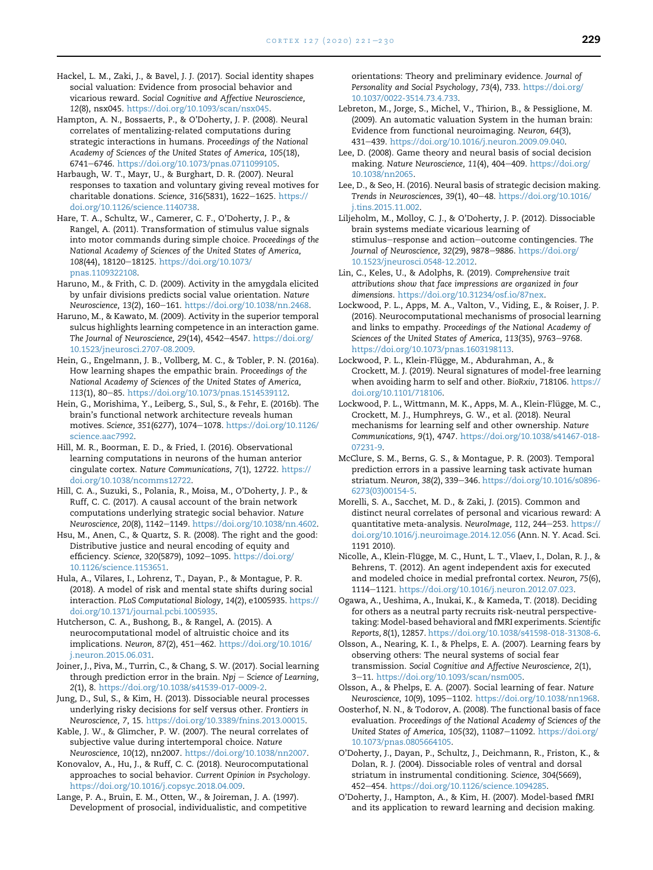- <span id="page-8-7"></span>Hackel, L. M., Zaki, J., & Bavel, J. J. (2017). Social identity shapes social valuation: Evidence from prosocial behavior and vicarious reward. Social Cognitive and Affective Neuroscience, 12(8), nsx045. [https://doi.org/10.1093/scan/nsx045.](https://doi.org/10.1093/scan/nsx045)
- <span id="page-8-12"></span>Hampton, A. N., Bossaerts, P., & O'Doherty, J. P. (2008). Neural correlates of mentalizing-related computations during strategic interactions in humans. Proceedings of the National Academy of Sciences of the United States of America, 105(18), 6741-6746. [https://doi.org/10.1073/pnas.0711099105.](https://doi.org/10.1073/pnas.0711099105)
- Harbaugh, W. T., Mayr, U., & Burghart, D. R. (2007). Neural responses to taxation and voluntary giving reveal motives for charitable donations. Science, 316(5831), 1622-1625. [https://](https://doi.org/10.1126/science.1140738) [doi.org/10.1126/science.1140738.](https://doi.org/10.1126/science.1140738)
- <span id="page-8-14"></span>Hare, T. A., Schultz, W., Camerer, C. F., O'Doherty, J. P., & Rangel, A. (2011). Transformation of stimulus value signals into motor commands during simple choice. Proceedings of the National Academy of Sciences of the United States of America, 108(44), 18120-18125. [https://doi.org/10.1073/](https://doi.org/10.1073/pnas.1109322108) [pnas.1109322108.](https://doi.org/10.1073/pnas.1109322108)
- <span id="page-8-5"></span>Haruno, M., & Frith, C. D. (2009). Activity in the amygdala elicited by unfair divisions predicts social value orientation. Nature Neuroscience, 13(2), 160-161. [https://doi.org/10.1038/nn.2468.](https://doi.org/10.1038/nn.2468)
- Haruno, M., & Kawato, M. (2009). Activity in the superior temporal sulcus highlights learning competence in an interaction game. The Journal of Neuroscience, 29(14), 4542-4547. [https://doi.org/](https://doi.org/10.1523/jneurosci.2707-08.2009) [10.1523/jneurosci.2707-08.2009.](https://doi.org/10.1523/jneurosci.2707-08.2009)
- Hein, G., Engelmann, J. B., Vollberg, M. C., & Tobler, P. N. (2016a). How learning shapes the empathic brain. Proceedings of the National Academy of Sciences of the United States of America, 113(1), 80-85. <https://doi.org/10.1073/pnas.1514539112>.
- <span id="page-8-15"></span>Hein, G., Morishima, Y., Leiberg, S., Sul, S., & Fehr, E. (2016b). The brain's functional network architecture reveals human motives. Science, 351(6277), 1074-1078. [https://doi.org/10.1126/](https://doi.org/10.1126/science.aac7992) [science.aac7992](https://doi.org/10.1126/science.aac7992).
- Hill, M. R., Boorman, E. D., & Fried, I. (2016). Observational learning computations in neurons of the human anterior cingulate cortex. Nature Communications, 7(1), 12722. [https://](https://doi.org/10.1038/ncomms12722) [doi.org/10.1038/ncomms12722](https://doi.org/10.1038/ncomms12722).
- <span id="page-8-13"></span>Hill, C. A., Suzuki, S., Polania, R., Moisa, M., O'Doherty, J. P., & Ruff, C. C. (2017). A causal account of the brain network computations underlying strategic social behavior. Nature Neuroscience, 20(8), 1142-1149. [https://doi.org/10.1038/nn.4602.](https://doi.org/10.1038/nn.4602)
- <span id="page-8-2"></span>Hsu, M., Anen, C., & Quartz, S. R. (2008). The right and the good: Distributive justice and neural encoding of equity and efficiency. Science, 320(5879), 1092-1095. [https://doi.org/](https://doi.org/10.1126/science.1153651) [10.1126/science.1153651.](https://doi.org/10.1126/science.1153651)
- Hula, A., Vilares, I., Lohrenz, T., Dayan, P., & Montague, P. R. (2018). A model of risk and mental state shifts during social interaction. PLoS Computational Biology, 14(2), e1005935. [https://](https://doi.org/10.1371/journal.pcbi.1005935) [doi.org/10.1371/journal.pcbi.1005935](https://doi.org/10.1371/journal.pcbi.1005935).
- <span id="page-8-1"></span>Hutcherson, C. A., Bushong, B., & Rangel, A. (2015). A neurocomputational model of altruistic choice and its implications. Neuron, 87(2), 451-462. [https://doi.org/10.1016/](https://doi.org/10.1016/j.neuron.2015.06.031) [j.neuron.2015.06.031](https://doi.org/10.1016/j.neuron.2015.06.031).
- Joiner, J., Piva, M., Turrin, C., & Chang, S. W. (2017). Social learning through prediction error in the brain. Npj  $-$  Science of Learning, 2(1), 8. <https://doi.org/10.1038/s41539-017-0009-2>.
- Jung, D., Sul, S., & Kim, H. (2013). Dissociable neural processes underlying risky decisions for self versus other. Frontiers in Neuroscience, 7, 15. <https://doi.org/10.3389/fnins.2013.00015>.
- Kable, J. W., & Glimcher, P. W. (2007). The neural correlates of subjective value during intertemporal choice. Nature Neuroscience, 10(12), nn2007. [https://doi.org/10.1038/nn2007.](https://doi.org/10.1038/nn2007)
- Konovalov, A., Hu, J., & Ruff, C. C. (2018). Neurocomputational approaches to social behavior. Current Opinion in Psychology. <https://doi.org/10.1016/j.copsyc.2018.04.009>.
- Lange, P. A., Bruin, E. M., Otten, W., & Joireman, J. A. (1997). Development of prosocial, individualistic, and competitive

orientations: Theory and preliminary evidence. Journal of Personality and Social Psychology, 73(4), 733. [https://doi.org/](https://doi.org/10.1037/0022-3514.73.4.733) [10.1037/0022-3514.73.4.733.](https://doi.org/10.1037/0022-3514.73.4.733)

- Lebreton, M., Jorge, S., Michel, V., Thirion, B., & Pessiglione, M. (2009). An automatic valuation System in the human brain: Evidence from functional neuroimaging. Neuron, 64(3), 431e439. [https://doi.org/10.1016/j.neuron.2009.09.040.](https://doi.org/10.1016/j.neuron.2009.09.040)
- Lee, D. (2008). Game theory and neural basis of social decision making. Nature Neuroscience, 11(4), 404-409. [https://doi.org/](https://doi.org/10.1038/nn2065) [10.1038/nn2065](https://doi.org/10.1038/nn2065).
- Lee, D., & Seo, H. (2016). Neural basis of strategic decision making. Trends in Neurosciences, 39(1), 40-48. [https://doi.org/10.1016/](https://doi.org/10.1016/j.tins.2015.11.002) [j.tins.2015.11.002.](https://doi.org/10.1016/j.tins.2015.11.002)
- <span id="page-8-10"></span>Liljeholm, M., Molloy, C. J., & O'Doherty, J. P. (2012). Dissociable brain systems mediate vicarious learning of stimulus-response and action-outcome contingencies. The Journal of Neuroscience, 32(29), 9878-9886. [https://doi.org/](https://doi.org/10.1523/jneurosci.0548-12.2012) [10.1523/jneurosci.0548-12.2012.](https://doi.org/10.1523/jneurosci.0548-12.2012)
- Lin, C., Keles, U., & Adolphs, R. (2019). Comprehensive trait attributions show that face impressions are organized in four dimensions. <https://doi.org/10.31234/osf.io/87nex>.
- <span id="page-8-4"></span>Lockwood, P. L., Apps, M. A., Valton, V., Viding, E., & Roiser, J. P. (2016). Neurocomputational mechanisms of prosocial learning and links to empathy. Proceedings of the National Academy of Sciences of the United States of America, 113(35), 9763-9768. [https://doi.org/10.1073/pnas.1603198113.](https://doi.org/10.1073/pnas.1603198113)
- <span id="page-8-3"></span>Lockwood, P. L., Klein-Flügge, M., Abdurahman, A., & Crockett, M. J. (2019). Neural signatures of model-free learning when avoiding harm to self and other. BioRxiv, 718106. [https://](https://doi.org/10.1101/718106) [doi.org/10.1101/718106](https://doi.org/10.1101/718106).
- <span id="page-8-11"></span>Lockwood, P. L., Wittmann, M. K., Apps, M. A., Klein-Flügge, M. C., Crockett, M. J., Humphreys, G. W., et al. (2018). Neural mechanisms for learning self and other ownership. Nature Communications, 9(1), 4747. [https://doi.org/10.1038/s41467-018-](https://doi.org/10.1038/s41467-018-07231-9) [07231-9.](https://doi.org/10.1038/s41467-018-07231-9)
- <span id="page-8-0"></span>McClure, S. M., Berns, G. S., & Montague, P. R. (2003). Temporal prediction errors in a passive learning task activate human striatum. Neuron, 38(2), 339-346. [https://doi.org/10.1016/s0896-](https://doi.org/10.1016/s0896-6273(03)00154-5) [6273\(03\)00154-5](https://doi.org/10.1016/s0896-6273(03)00154-5).
- <span id="page-8-8"></span>Morelli, S. A., Sacchet, M. D., & Zaki, J. (2015). Common and distinct neural correlates of personal and vicarious reward: A quantitative meta-analysis. NeuroImage, 112, 244-253. [https://](https://doi.org/10.1016/j.neuroimage.2014.12.056) [doi.org/10.1016/j.neuroimage.2014.12.056](https://doi.org/10.1016/j.neuroimage.2014.12.056) (Ann. N. Y. Acad. Sci. 1191 2010).
- <span id="page-8-6"></span>Nicolle, A., Klein-Flügge, M. C., Hunt, L. T., Vlaev, I., Dolan, R. J., & Behrens, T. (2012). An agent independent axis for executed and modeled choice in medial prefrontal cortex. Neuron, 75(6), 1114e1121. <https://doi.org/10.1016/j.neuron.2012.07.023>.
- Ogawa, A., Ueshima, A., Inukai, K., & Kameda, T. (2018). Deciding for others as a neutral party recruits risk-neutral perspectivetaking: Model-based behavioral and fMRI experiments. Scientific Reports, 8(1), 12857. [https://doi.org/10.1038/s41598-018-31308-6.](https://doi.org/10.1038/s41598-018-31308-6)
- <span id="page-8-9"></span>Olsson, A., Nearing, K. I., & Phelps, E. A. (2007). Learning fears by observing others: The neural systems of social fear transmission. Social Cognitive and Affective Neuroscience, 2(1), 3e11. <https://doi.org/10.1093/scan/nsm005>.
- Olsson, A., & Phelps, E. A. (2007). Social learning of fear. Nature Neuroscience, 10(9), 1095-1102. [https://doi.org/10.1038/nn1968.](https://doi.org/10.1038/nn1968)
- Oosterhof, N. N., & Todorov, A. (2008). The functional basis of face evaluation. Proceedings of the National Academy of Sciences of the United States of America, 105(32), 11087-11092. [https://doi.org/](https://doi.org/10.1073/pnas.0805664105) [10.1073/pnas.0805664105.](https://doi.org/10.1073/pnas.0805664105)
- O'Doherty, J., Dayan, P., Schultz, J., Deichmann, R., Friston, K., & Dolan, R. J. (2004). Dissociable roles of ventral and dorsal striatum in instrumental conditioning. Science, 304(5669), 452e454. [https://doi.org/10.1126/science.1094285.](https://doi.org/10.1126/science.1094285)
- O'Doherty, J., Hampton, A., & Kim, H. (2007). Model-based fMRI and its application to reward learning and decision making.